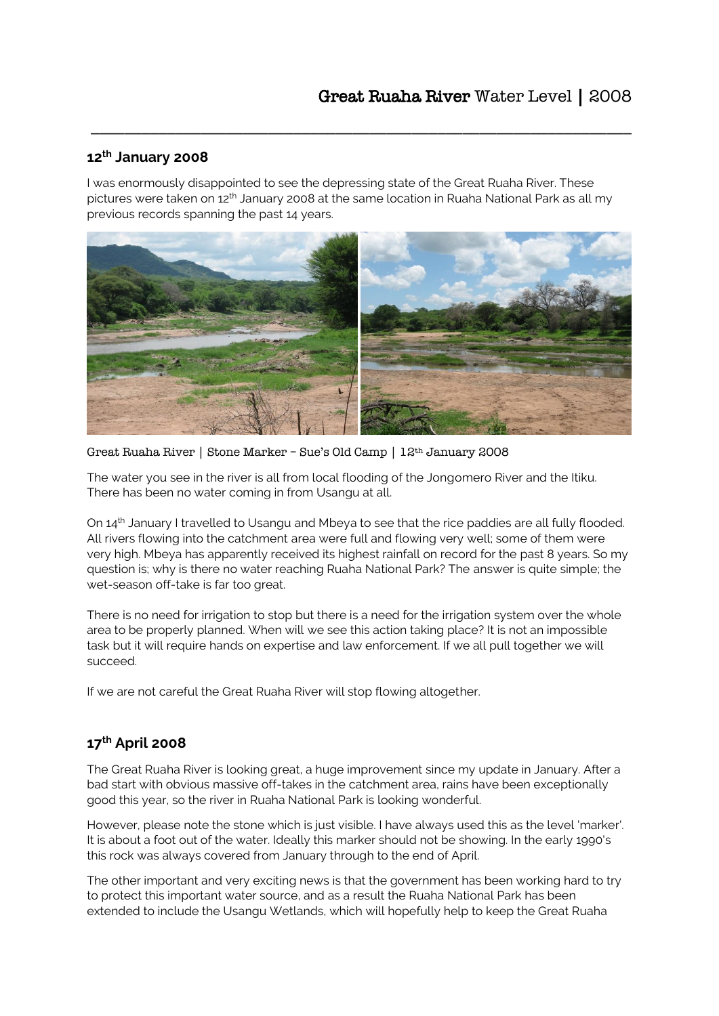#### **12th January 2008**

I was enormously disappointed to see the depressing state of the Great Ruaha River. These pictures were taken on 12<sup>th</sup> January 2008 at the same location in Ruaha National Park as all my previous records spanning the past 14 years.

\_\_\_\_\_\_\_\_\_\_\_\_\_\_\_\_\_\_\_\_\_\_\_\_\_\_\_\_\_\_\_\_\_\_\_\_\_\_\_\_\_\_\_\_\_\_\_\_\_\_\_\_\_\_\_\_\_\_\_\_\_\_\_\_



Great Ruaha River | Stone Marker – Sue's Old Camp | 12th January 2008

The water you see in the river is all from local flooding of the Jongomero River and the Itiku. There has been no water coming in from Usangu at all.

On 14<sup>th</sup> January I travelled to Usangu and Mbeya to see that the rice paddies are all fully flooded. All rivers flowing into the catchment area were full and flowing very well; some of them were very high. Mbeya has apparently received its highest rainfall on record for the past 8 years. So my question is; why is there no water reaching Ruaha National Park? The answer is quite simple; the wet-season off-take is far too great.

There is no need for irrigation to stop but there is a need for the irrigation system over the whole area to be properly planned. When will we see this action taking place? It is not an impossible task but it will require hands on expertise and law enforcement. If we all pull together we will succeed.

If we are not careful the Great Ruaha River will stop flowing altogether.

# **17th April 2008**

The Great Ruaha River is looking great, a huge improvement since my update in January. After a bad start with obvious massive off-takes in the catchment area, rains have been exceptionally good this year, so the river in Ruaha National Park is looking wonderful.

However, please note the stone which is just visible. I have always used this as the level 'marker'. It is about a foot out of the water. Ideally this marker should not be showing. In the early 1990's this rock was always covered from January through to the end of April.

The other important and very exciting news is that the government has been working hard to try to protect this important water source, and as a result the Ruaha National Park has been extended to include the Usangu Wetlands, which will hopefully help to keep the Great Ruaha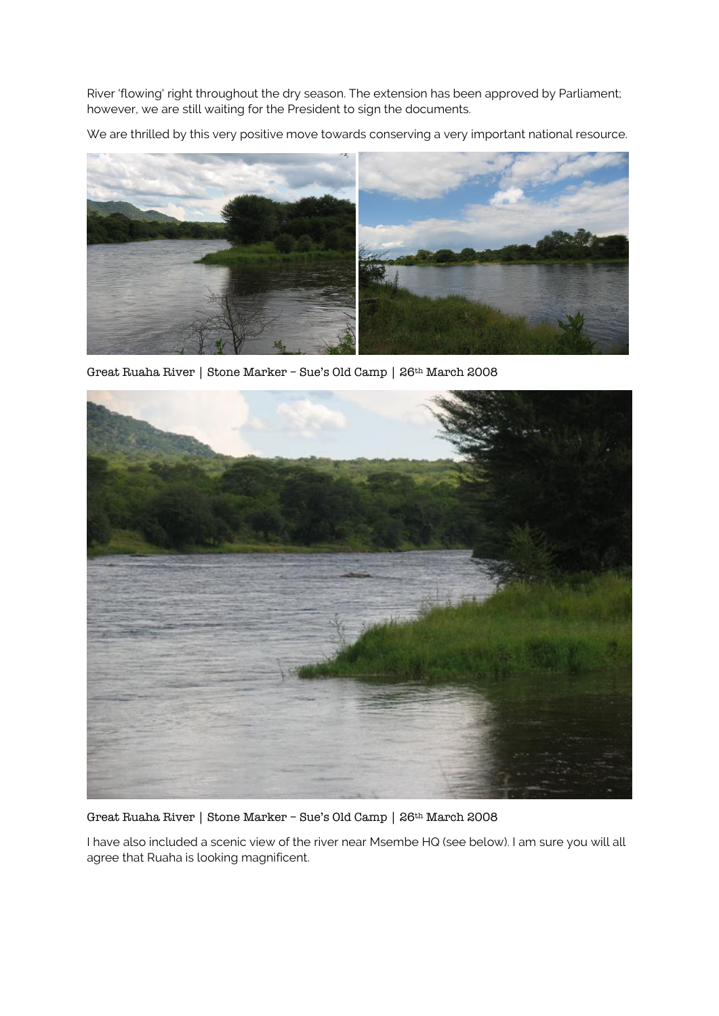River 'flowing' right throughout the dry season. The extension has been approved by Parliament; however, we are still waiting for the President to sign the documents.

We are thrilled by this very positive move towards conserving a very important national resource.



Great Ruaha River | Stone Marker – Sue's Old Camp | 26th March 2008



Great Ruaha River | Stone Marker – Sue's Old Camp | 26th March 2008

I have also included a scenic view of the river near Msembe HQ (see below). I am sure you will all agree that Ruaha is looking magnificent.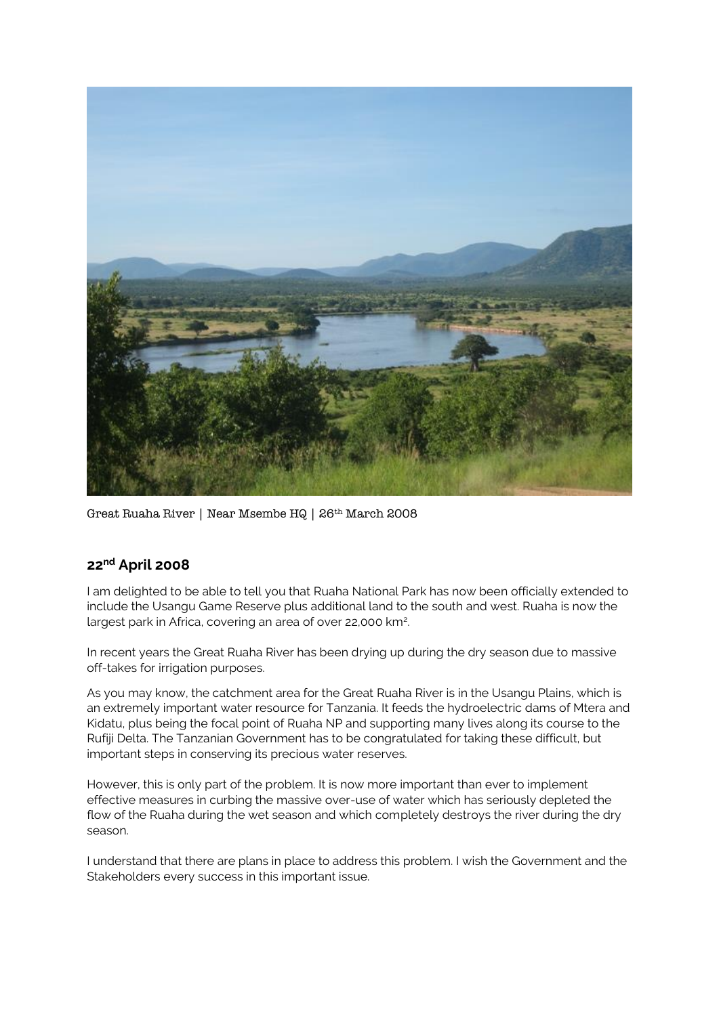

Great Ruaha River | Near Msembe HQ | 26th March 2008

### **22nd April 2008**

I am delighted to be able to tell you that Ruaha National Park has now been officially extended to include the Usangu Game Reserve plus additional land to the south and west. Ruaha is now the largest park in Africa, covering an area of over 22,000 km<sup>2</sup> .

In recent years the Great Ruaha River has been drying up during the dry season due to massive off-takes for irrigation purposes.

As you may know, the catchment area for the Great Ruaha River is in the Usangu Plains, which is an extremely important water resource for Tanzania. It feeds the hydroelectric dams of Mtera and Kidatu, plus being the focal point of Ruaha NP and supporting many lives along its course to the Rufiji Delta. The Tanzanian Government has to be congratulated for taking these difficult, but important steps in conserving its precious water reserves.

However, this is only part of the problem. It is now more important than ever to implement effective measures in curbing the massive over-use of water which has seriously depleted the flow of the Ruaha during the wet season and which completely destroys the river during the dry season.

I understand that there are plans in place to address this problem. I wish the Government and the Stakeholders every success in this important issue.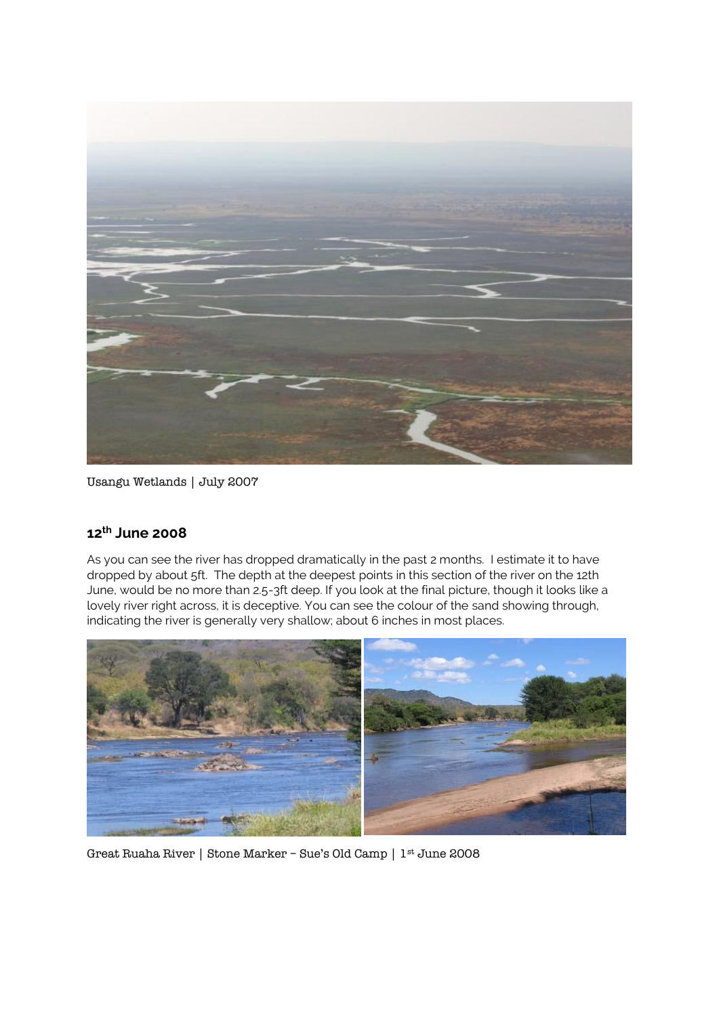

Usangu Wetlands | July 2007

### **12th June 2008**

As you can see the river has dropped dramatically in the past 2 months. I estimate it to have dropped by about 5ft. The depth at the deepest points in this section of the river on the 12th June, would be no more than 2.5-3ft deep. If you look at the final picture, though it looks like a lovely river right across, it is deceptive. You can see the colour of the sand showing through, indicating the river is generally very shallow; about 6 inches in most places.



Great Ruaha River | Stone Marker – Sue's Old Camp | 1st June 2008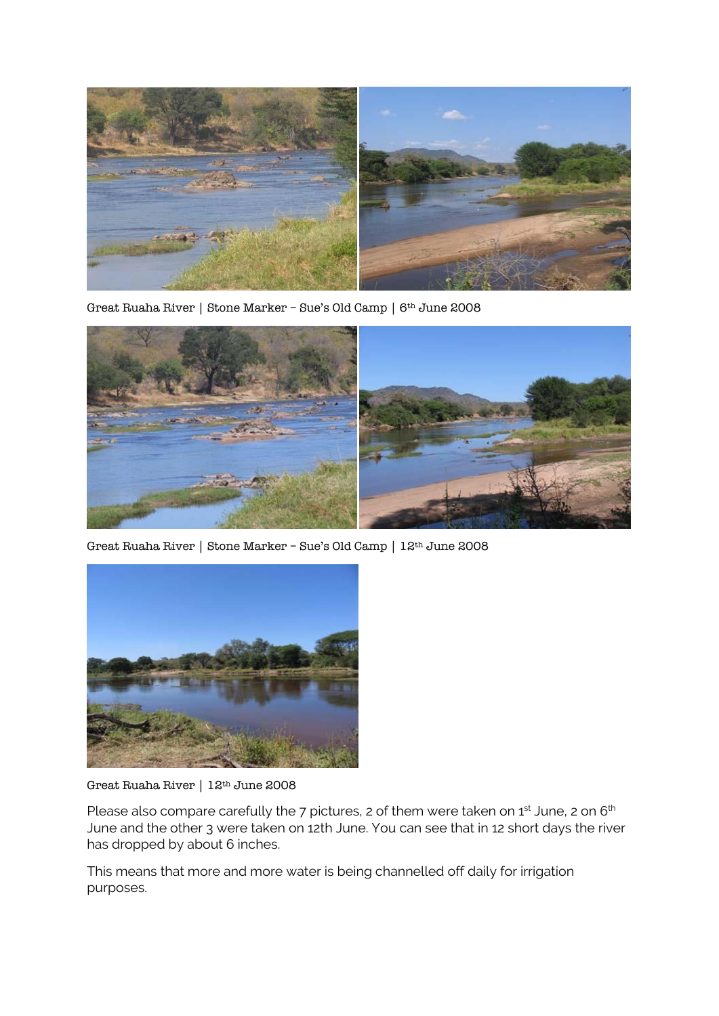

Great Ruaha River | Stone Marker – Sue's Old Camp | 6th June 2008



Great Ruaha River | Stone Marker – Sue's Old Camp | 12th June 2008



Great Ruaha River | 12th June 2008

Please also compare carefully the 7 pictures, 2 of them were taken on 1st June, 2 on 6<sup>th</sup> June and the other 3 were taken on 12th June. You can see that in 12 short days the river has dropped by about 6 inches.

This means that more and more water is being channelled off daily for irrigation purposes.